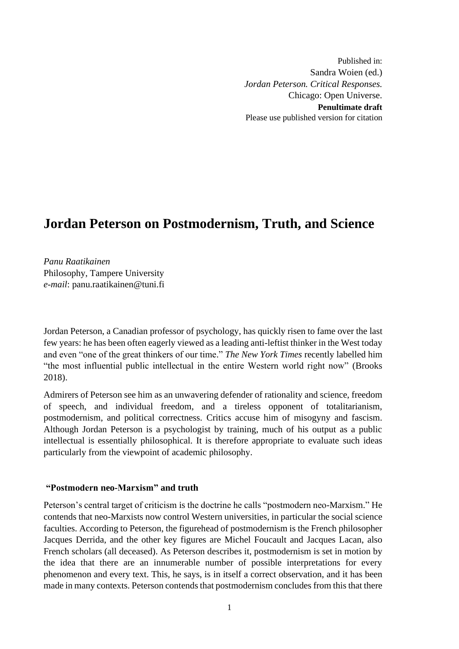Published in: Sandra Woien (ed.) *Jordan Peterson. Critical Responses.*  Chicago: Open Universe. **Penultimate draft**  Please use published version for citation

# **Jordan Peterson on Postmodernism, Truth, and Science**

*Panu Raatikainen* Philosophy, Tampere University *e-mail*: [panu.raatikainen@tuni.fi](mailto:panu.raatikainen@tuni.fi)

Jordan Peterson, a Canadian professor of psychology, has quickly risen to fame over the last few years: he has been often eagerly viewed as a leading anti-leftist thinker in the West today and even "one of the great thinkers of our time." *The New York Times* recently labelled him "the most influential public intellectual in the entire Western world right now" (Brooks 2018).

Admirers of Peterson see him as an unwavering defender of rationality and science, freedom of speech, and individual freedom, and a tireless opponent of totalitarianism, postmodernism, and political correctness. Critics accuse him of misogyny and fascism. Although Jordan Peterson is a psychologist by training, much of his output as a public intellectual is essentially philosophical. It is therefore appropriate to evaluate such ideas particularly from the viewpoint of academic philosophy.

# **"Postmodern neo-Marxism" and truth**

Peterson's central target of criticism is the doctrine he calls "postmodern neo-Marxism." He contends that neo-Marxists now control Western universities, in particular the social science faculties. According to Peterson, the figurehead of postmodernism is the French philosopher Jacques Derrida, and the other key figures are Michel Foucault and Jacques Lacan, also French scholars (all deceased). As Peterson describes it, postmodernism is set in motion by the idea that there are an innumerable number of possible interpretations for every phenomenon and every text. This, he says, is in itself a correct observation, and it has been made in many contexts. Peterson contends that postmodernism concludes from this that there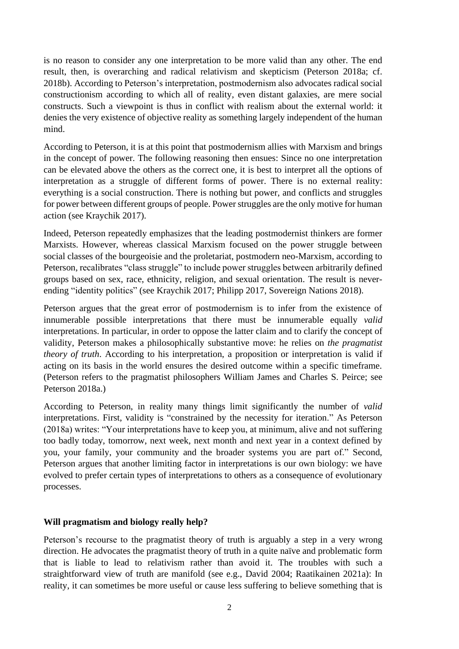is no reason to consider any one interpretation to be more valid than any other. The end result, then, is overarching and radical relativism and skepticism (Peterson 2018a; cf. 2018b). According to Peterson's interpretation, postmodernism also advocates radical social constructionism according to which all of reality, even distant galaxies, are mere social constructs. Such a viewpoint is thus in conflict with realism about the external world: it denies the very existence of objective reality as something largely independent of the human mind.

According to Peterson, it is at this point that postmodernism allies with Marxism and brings in the concept of power. The following reasoning then ensues: Since no one interpretation can be elevated above the others as the correct one, it is best to interpret all the options of interpretation as a struggle of different forms of power. There is no external reality: everything is a social construction. There is nothing but power, and conflicts and struggles for power between different groups of people. Power struggles are the only motive for human action (see Kraychik 2017).

Indeed, Peterson repeatedly emphasizes that the leading postmodernist thinkers are former Marxists. However, whereas classical Marxism focused on the power struggle between social classes of the bourgeoisie and the proletariat, postmodern neo-Marxism, according to Peterson, recalibrates "class struggle" to include power struggles between arbitrarily defined groups based on sex, race, ethnicity, religion, and sexual orientation. The result is neverending "identity politics" (see Kraychik 2017; Philipp 2017, Sovereign Nations 2018).

Peterson argues that the great error of postmodernism is to infer from the existence of innumerable possible interpretations that there must be innumerable equally *valid* interpretations. In particular, in order to oppose the latter claim and to clarify the concept of validity, Peterson makes a philosophically substantive move: he relies on *the pragmatist theory of truth*. According to his interpretation, a proposition or interpretation is valid if acting on its basis in the world ensures the desired outcome within a specific timeframe. (Peterson refers to the pragmatist philosophers William James and Charles S. Peirce; see Peterson 2018a.)

According to Peterson, in reality many things limit significantly the number of *valid* interpretations. First, validity is "constrained by the necessity for iteration." As Peterson (2018a) writes: "Your interpretations have to keep you, at minimum, alive and not suffering too badly today, tomorrow, next week, next month and next year in a context defined by you, your family, your community and the broader systems you are part of." Second, Peterson argues that another limiting factor in interpretations is our own biology: we have evolved to prefer certain types of interpretations to others as a consequence of evolutionary processes.

# **Will pragmatism and biology really help?**

Peterson's recourse to the pragmatist theory of truth is arguably a step in a very wrong direction. He advocates the pragmatist theory of truth in a quite naïve and problematic form that is liable to lead to relativism rather than avoid it. The troubles with such a straightforward view of truth are manifold (see e.g., David 2004; Raatikainen 2021a): In reality, it can sometimes be more useful or cause less suffering to believe something that is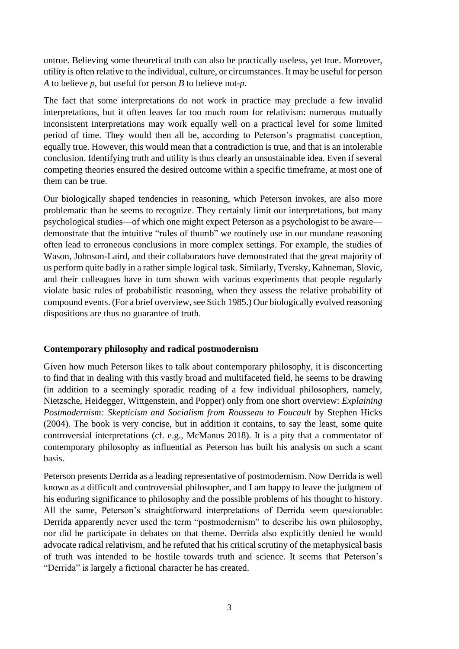untrue. Believing some theoretical truth can also be practically useless, yet true. Moreover, utility is often relative to the individual, culture, or circumstances. It may be useful for person *A* to believe *p*, but useful for person *B* to believe not-*p*.

The fact that some interpretations do not work in practice may preclude a few invalid interpretations, but it often leaves far too much room for relativism: numerous mutually inconsistent interpretations may work equally well on a practical level for some limited period of time. They would then all be, according to Peterson's pragmatist conception, equally true. However, this would mean that a contradiction is true, and that is an intolerable conclusion. Identifying truth and utility is thus clearly an unsustainable idea. Even if several competing theories ensured the desired outcome within a specific timeframe, at most one of them can be true.

Our biologically shaped tendencies in reasoning, which Peterson invokes, are also more problematic than he seems to recognize. They certainly limit our interpretations, but many psychological studies—of which one might expect Peterson as a psychologist to be aware demonstrate that the intuitive "rules of thumb" we routinely use in our mundane reasoning often lead to erroneous conclusions in more complex settings. For example, the studies of Wason, Johnson-Laird, and their collaborators have demonstrated that the great majority of us perform quite badly in a rather simple logical task. Similarly, Tversky, Kahneman, Slovic, and their colleagues have in turn shown with various experiments that people regularly violate basic rules of probabilistic reasoning, when they assess the relative probability of compound events. (For a brief overview, see Stich 1985.) Our biologically evolved reasoning dispositions are thus no guarantee of truth.

# **Contemporary philosophy and radical postmodernism**

Given how much Peterson likes to talk about contemporary philosophy, it is disconcerting to find that in dealing with this vastly broad and multifaceted field, he seems to be drawing (in addition to a seemingly sporadic reading of a few individual philosophers, namely, Nietzsche, Heidegger, Wittgenstein, and Popper) only from one short overview: *Explaining Postmodernism: Skepticism and Socialism from Rousseau to Foucault* by Stephen Hicks (2004). The book is very concise, but in addition it contains, to say the least, some quite controversial interpretations (cf. e.g., McManus 2018). It is a pity that a commentator of contemporary philosophy as influential as Peterson has built his analysis on such a scant basis.

Peterson presents Derrida as a leading representative of postmodernism. Now Derrida is well known as a difficult and controversial philosopher, and I am happy to leave the judgment of his enduring significance to philosophy and the possible problems of his thought to history. All the same, Peterson's straightforward interpretations of Derrida seem questionable: Derrida apparently never used the term "postmodernism" to describe his own philosophy, nor did he participate in debates on that theme. Derrida also explicitly denied he would advocate radical relativism, and he refuted that his critical scrutiny of the metaphysical basis of truth was intended to be hostile towards truth and science. It seems that Peterson's "Derrida" is largely a fictional character he has created.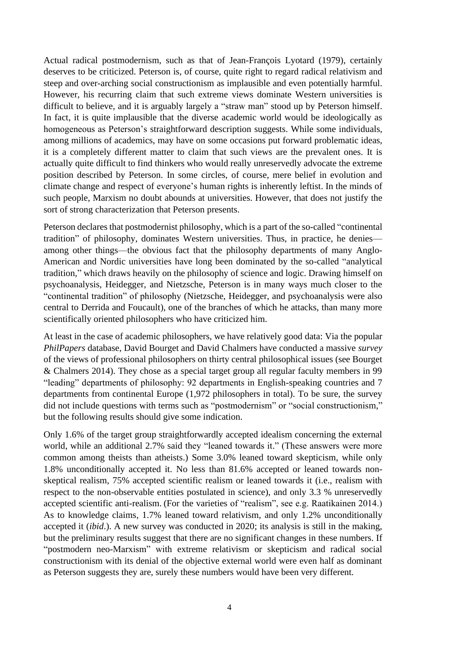Actual radical postmodernism, such as that of Jean-François Lyotard (1979), certainly deserves to be criticized. Peterson is, of course, quite right to regard radical relativism and steep and over-arching social constructionism as implausible and even potentially harmful. However, his recurring claim that such extreme views dominate Western universities is difficult to believe, and it is arguably largely a "straw man" stood up by Peterson himself. In fact, it is quite implausible that the diverse academic world would be ideologically as homogeneous as Peterson's straightforward description suggests. While some individuals, among millions of academics, may have on some occasions put forward problematic ideas, it is a completely different matter to claim that such views are the prevalent ones. It is actually quite difficult to find thinkers who would really unreservedly advocate the extreme position described by Peterson. In some circles, of course, mere belief in evolution and climate change and respect of everyone's human rights is inherently leftist. In the minds of such people, Marxism no doubt abounds at universities. However, that does not justify the sort of strong characterization that Peterson presents.

Peterson declares that postmodernist philosophy, which is a part of the so-called "continental tradition" of philosophy, dominates Western universities. Thus, in practice, he denies among other things—the obvious fact that the philosophy departments of many Anglo-American and Nordic universities have long been dominated by the so-called "analytical tradition," which draws heavily on the philosophy of science and logic. Drawing himself on psychoanalysis, Heidegger, and Nietzsche, Peterson is in many ways much closer to the "continental tradition" of philosophy (Nietzsche, Heidegger, and psychoanalysis were also central to Derrida and Foucault), one of the branches of which he attacks, than many more scientifically oriented philosophers who have criticized him.

At least in the case of academic philosophers, we have relatively good data: Via the popular *PhilPapers* database, David Bourget and David Chalmers have conducted a massive *survey* of the views of professional philosophers on thirty central philosophical issues (see Bourget & Chalmers 2014). They chose as a special target group all regular faculty members in 99 "leading" departments of philosophy: 92 departments in English-speaking countries and 7 departments from continental Europe (1,972 philosophers in total). To be sure, the survey did not include questions with terms such as "postmodernism" or "social constructionism," but the following results should give some indication.

Only 1.6% of the target group straightforwardly accepted idealism concerning the external world, while an additional 2.7% said they "leaned towards it." (These answers were more common among theists than atheists.) Some 3.0% leaned toward skepticism, while only 1.8% unconditionally accepted it. No less than 81.6% accepted or leaned towards nonskeptical realism, 75% accepted scientific realism or leaned towards it (i.e., realism with respect to the non-observable entities postulated in science), and only 3.3 % unreservedly accepted scientific anti-realism. (For the varieties of "realism", see e.g. Raatikainen 2014.) As to knowledge claims, 1.7% leaned toward relativism, and only 1.2% unconditionally accepted it (*ibid*.). A new survey was conducted in 2020; its analysis is still in the making, but the preliminary results suggest that there are no significant changes in these numbers. If "postmodern neo-Marxism" with extreme relativism or skepticism and radical social constructionism with its denial of the objective external world were even half as dominant as Peterson suggests they are, surely these numbers would have been very different.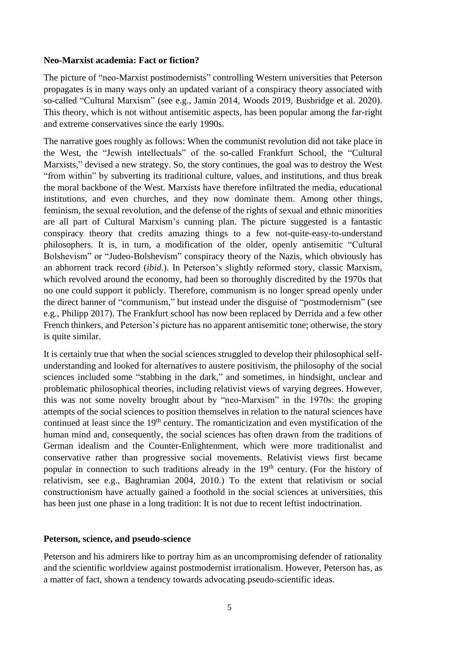## **Neo-Marxist academia: Fact or fiction?**

The picture of "neo-Marxist postmodernists" controlling Western universities that Peterson propagates is in many ways only an updated variant of a conspiracy theory associated with so-called "Cultural Marxism" (see e.g., Jamin 2014, Woods 2019, Busbridge et al. 2020). This theory, which is not without antisemitic aspects, has been popular among the far-right and extreme conservatives since the early 1990s.

The narrative goes roughly as follows: When the communist revolution did not take place in the West, the "Jewish intellectuals" of the so-called Frankfurt School, the "Cultural Marxists," devised a new strategy. So, the story continues, the goal was to destroy the West "from within" by subverting its traditional culture, values, and institutions, and thus break the moral backbone of the West. Marxists have therefore infiltrated the media, educational institutions, and even churches, and they now dominate them. Among other things, feminism, the sexual revolution, and the defense of the rights of sexual and ethnic minorities are all part of Cultural Marxism's cunning plan. The picture suggested is a fantastic conspiracy theory that credits amazing things to a few not-quite-easy-to-understand philosophers. It is, in turn, a modification of the older, openly antisemitic "Cultural Bolshevism" or "Judeo-Bolshevism" conspiracy theory of the Nazis, which obviously has an abhorrent track record (*ibid*.). In Peterson's slightly reformed story, classic Marxism, which revolved around the economy, had been so thoroughly discredited by the 1970s that no one could support it publicly. Therefore, communism is no longer spread openly under the direct banner of "communism," but instead under the disguise of "postmodernism" (see e.g., Philipp 2017). The Frankfurt school has now been replaced by Derrida and a few other French thinkers, and Peterson's picture has no apparent antisemitic tone; otherwise, the story is quite similar.

It is certainly true that when the social sciences struggled to develop their philosophical selfunderstanding and looked for alternatives to austere positivism, the philosophy of the social sciences included some "stabbing in the dark," and sometimes, in hindsight, unclear and problematic philosophical theories, including relativist views of varying degrees. However, this was not some novelty brought about by "neo-Marxism" in the 1970s: the groping attempts of the social sciences to position themselves in relation to the natural sciences have continued at least since the 19<sup>th</sup> century. The romanticization and even mystification of the human mind and, consequently, the social sciences has often drawn from the traditions of German idealism and the Counter-Enlightenment, which were more traditionalist and conservative rather than progressive social movements. Relativist views first became popular in connection to such traditions already in the 19<sup>th</sup> century. (For the history of relativism, see e.g., Baghramian 2004, 2010.) To the extent that relativism or social constructionism have actually gained a foothold in the social sciences at universities, this has been just one phase in a long tradition: It is not due to recent leftist indoctrination.

### **Peterson, science, and pseudo-science**

Peterson and his admirers like to portray him as an uncompromising defender of rationality and the scientific worldview against postmodernist irrationalism. However, Peterson has, as a matter of fact, shown a tendency towards advocating pseudo-scientific ideas.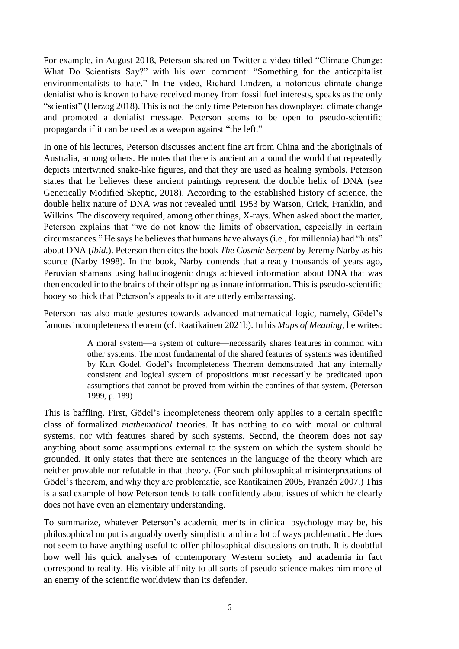For example, in August 2018, Peterson shared on Twitter a video titled "Climate Change: What Do Scientists Say?" with his own comment: "Something for the anticapitalist environmentalists to hate." In the video, Richard Lindzen, a notorious climate change denialist who is known to have received money from fossil fuel interests, speaks as the only "scientist" (Herzog 2018). This is not the only time Peterson has downplayed climate change and promoted a denialist message. Peterson seems to be open to pseudo-scientific propaganda if it can be used as a weapon against "the left."

In one of his lectures, Peterson discusses ancient fine art from China and the aboriginals of Australia, among others. He notes that there is ancient art around the world that repeatedly depicts intertwined snake-like figures, and that they are used as healing symbols. Peterson states that he believes these ancient paintings represent the double helix of DNA (see Genetically Modified Skeptic, 2018). According to the established history of science, the double helix nature of DNA was not revealed until 1953 by Watson, Crick, Franklin, and Wilkins. The discovery required, among other things, X-rays. When asked about the matter, Peterson explains that "we do not know the limits of observation, especially in certain circumstances." He says he believes that humans have always (i.e., for millennia) had "hints" about DNA (*ibid*.). Peterson then cites the book *The Cosmic Serpent* by Jeremy Narby as his source (Narby 1998). In the book, Narby contends that already thousands of years ago, Peruvian shamans using hallucinogenic drugs achieved information about DNA that was then encoded into the brains of their offspring as innate information. This is pseudo-scientific hooey so thick that Peterson's appeals to it are utterly embarrassing.

Peterson has also made gestures towards advanced mathematical logic, namely, Gödel's famous incompleteness theorem (cf. Raatikainen 2021b). In his *Maps of Meaning*, he writes:

> A moral system—a system of culture—necessarily shares features in common with other systems. The most fundamental of the shared features of systems was identified by Kurt Godel. Godel's Incompleteness Theorem demonstrated that any internally consistent and logical system of propositions must necessarily be predicated upon assumptions that cannot be proved from within the confines of that system. (Peterson 1999, p. 189)

This is baffling. First, Gödel's incompleteness theorem only applies to a certain specific class of formalized *mathematical* theories. It has nothing to do with moral or cultural systems, nor with features shared by such systems. Second, the theorem does not say anything about some assumptions external to the system on which the system should be grounded. It only states that there are sentences in the language of the theory which are neither provable nor refutable in that theory. (For such philosophical misinterpretations of Gödel's theorem, and why they are problematic, see Raatikainen 2005, Franzén 2007.) This is a sad example of how Peterson tends to talk confidently about issues of which he clearly does not have even an elementary understanding.

To summarize, whatever Peterson's academic merits in clinical psychology may be, his philosophical output is arguably overly simplistic and in a lot of ways problematic. He does not seem to have anything useful to offer philosophical discussions on truth. It is doubtful how well his quick analyses of contemporary Western society and academia in fact correspond to reality. His visible affinity to all sorts of pseudo-science makes him more of an enemy of the scientific worldview than its defender.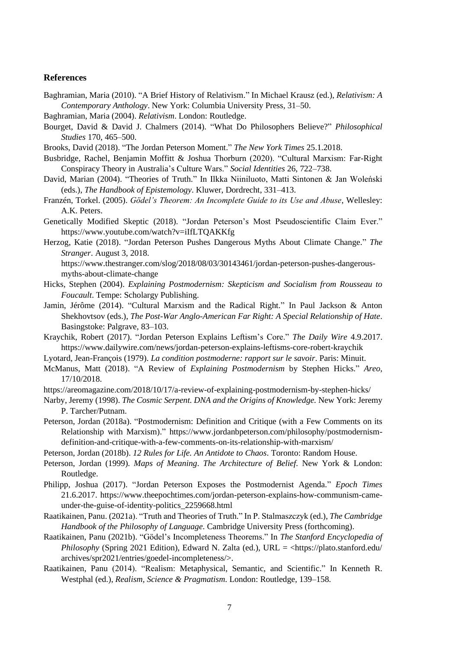#### **References**

Baghramian, Maria (2010). "A Brief History of Relativism." In Michael Krausz (ed.), *Relativism: A Contemporary Anthology*. New York: Columbia University Press, 31–50.

Baghramian, Maria (2004). *Relativism*. London: Routledge.

Bourget, David & David J. Chalmers (2014). "What Do Philosophers Believe?" *Philosophical Studies* 170, 465–500.

Brooks, David (2018). "The Jordan Peterson Moment." *The New York Times* 25.1.2018.

- Busbridge, Rachel, Benjamin Moffitt & Joshua Thorburn (2020). "Cultural Marxism: Far-Right Conspiracy Theory in Australia's Culture Wars." *Social Identities* 26, 722–738.
- David, Marian (2004). "Theories of Truth." In Ilkka Niiniluoto, Matti Sintonen & Jan Woleński (eds.), *The Handbook of Epistemology*. Kluwer, Dordrecht, 331–413.
- Franzén, Torkel. (2005). *Gödel's Theorem: An Incomplete Guide to its Use and Abuse*, Wellesley: A.K. Peters.
- Genetically Modified Skeptic (2018). "Jordan Peterson's Most Pseudoscientific Claim Ever." https://www.youtube.com/watch?v=iIfLTQAKKfg
- Herzog, Katie (2018). "Jordan Peterson Pushes Dangerous Myths About Climate Change." *The Stranger*. August 3, 2018.

https://www.thestranger.com/slog/2018/08/03/30143461/jordan-peterson-pushes-dangerousmyths-about-climate-change

- Hicks, Stephen (2004). *Explaining Postmodernism: Skepticism and Socialism from Rousseau to Foucault*. Tempe: Scholargy Publishing.
- Jamin, Jérôme (2014). "Cultural Marxism and the Radical Right." In Paul Jackson & Anton Shekhovtsov (eds.), *The Post-War Anglo-American Far Right: A Special Relationship of Hate*. Basingstoke: Palgrave, 83–103.
- Kraychik, Robert (2017). "Jordan Peterson Explains Leftism's Core." *The Daily Wire* 4.9.2017. https://www.dailywire.com/news/jordan-peterson-explains-leftisms-core-robert-kraychik
- Lyotard, Jean-François (1979). *La condition postmoderne: rapport sur le savoir*. Paris: Minuit.
- McManus, Matt (2018). "A Review of *Explaining Postmodernism* by Stephen Hicks." *Areo*, 17/10/2018.

https://areomagazine.com/2018/10/17/a-review-of-explaining-postmodernism-by-stephen-hicks/

- Narby, Jeremy (1998). *The Cosmic Serpent. DNA and the Origins of Knowledge.* New York: Jeremy P. Tarcher/Putnam.
- Peterson, Jordan (2018a). "Postmodernism: Definition and Critique (with a Few Comments on its Relationship with Marxism)." https://www.jordanbpeterson.com/philosophy/postmodernismdefinition-and-critique-with-a-few-comments-on-its-relationship-with-marxism/

Peterson, Jordan (2018b). *12 Rules for Life. An Antidote to Chaos*. Toronto: Random House.

- Peterson, Jordan (1999). *Maps of Meaning*. *The Architecture of Belief.* New York & London: Routledge.
- Philipp, Joshua (2017). "Jordan Peterson Exposes the Postmodernist Agenda." *Epoch Times* 21.6.2017. https://www.theepochtimes.com/jordan-peterson-explains-how-communism-cameunder-the-guise-of-identity-politics\_2259668.html
- Raatikainen, Panu. (2021a). "Truth and Theories of Truth." In P. Stalmaszczyk (ed.), *The Cambridge Handbook of the Philosophy of Language*. Cambridge University Press (forthcoming).
- Raatikainen, Panu (2021b). "Gödel's Incompleteness Theorems." In *The Stanford Encyclopedia of Philosophy* (Spring 2021 Edition), Edward N. Zalta (ed.), URL = <https://plato.stanford.edu/ archives/spr2021/entries/goedel-incompleteness/>.
- Raatikainen, Panu (2014). "Realism: Metaphysical, Semantic, and Scientific." In Kenneth R. Westphal (ed.), *Realism, Science & Pragmatism*. London: Routledge, 139–158.